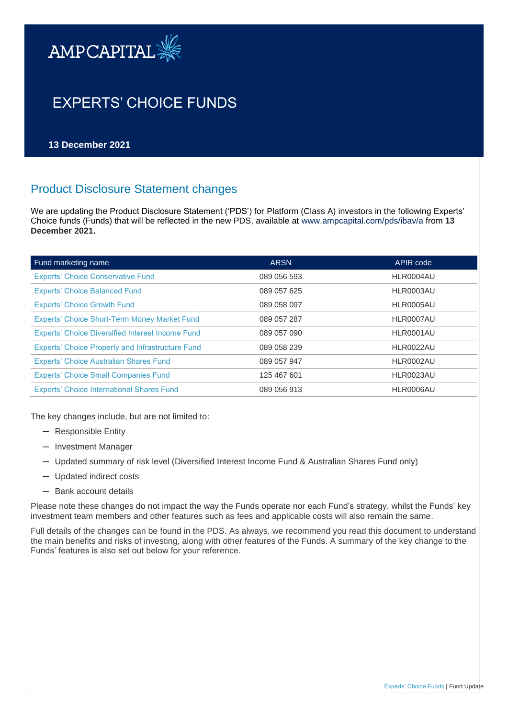

# EXPERTS' CHOICE FUNDS

**13 December 2021**

# Product Disclosure Statement changes

We are updating the Product Disclosure Statement ('PDS') for Platform (Class A) investors in the following Experts' Choice funds (Funds) that will be reflected in the new PDS, available at [www.ampcapital.com/pds/ibav/a](http://www.ampcapital.com/pds/ibav/a) from **13 December 2021.** 

| Fund marketing name                                     | <b>ARSN</b> | APIR code |
|---------------------------------------------------------|-------------|-----------|
| <b>Experts' Choice Conservative Fund</b>                | 089 056 593 | HLR0004AU |
| <b>Experts' Choice Balanced Fund</b>                    | 089 057 625 | HLR0003AU |
| <b>Experts' Choice Growth Fund</b>                      | 089 058 097 | HLR0005AU |
| <b>Experts' Choice Short-Term Money Market Fund</b>     | 089 057 287 | HLR0007AU |
| <b>Experts' Choice Diversified Interest Income Fund</b> | 089 057 090 | HLR0001AU |
| Experts' Choice Property and Infrastructure Fund        | 089 058 239 | HLR0022AU |
| <b>Experts' Choice Australian Shares Fund</b>           | 089 057 947 | HLR0002AU |
| <b>Experts' Choice Small Companies Fund</b>             | 125 467 601 | HLR0023AU |
| <b>Experts' Choice International Shares Fund</b>        | 089 056 913 | HLR0006AU |

The key changes include, but are not limited to:

- ─ Responsible Entity
- ─ Investment Manager
- ─ Updated summary of risk level (Diversified Interest Income Fund & Australian Shares Fund only)
- ─ Updated indirect costs
- ─ Bank account details

Please note these changes do not impact the way the Funds operate nor each Fund's strategy, whilst the Funds' key investment team members and other features such as fees and applicable costs will also remain the same.

Full details of the changes can be found in the PDS. As always, we recommend you read this document to understand the main benefits and risks of investing, along with other features of the Funds. A summary of the key change to the Funds' features is also set out below for your reference.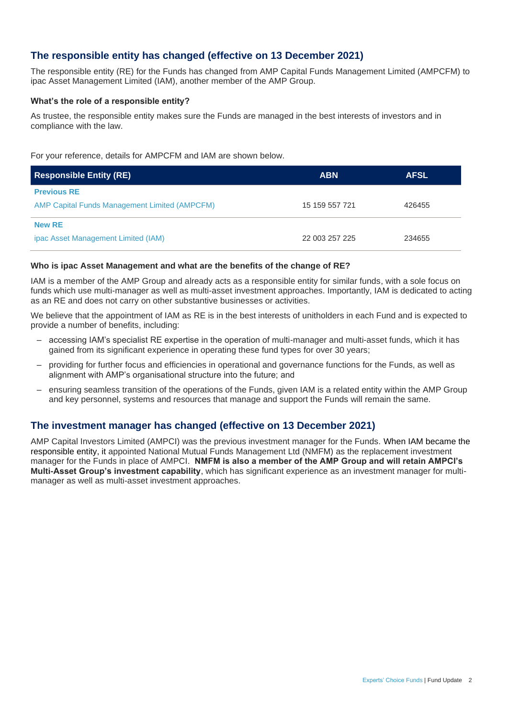# **The responsible entity has changed (effective on 13 December 2021)**

The responsible entity (RE) for the Funds has changed from AMP Capital Funds Management Limited (AMPCFM) to ipac Asset Management Limited (IAM), another member of the AMP Group.

#### **What's the role of a responsible entity?**

As trustee, the responsible entity makes sure the Funds are managed in the best interests of investors and in compliance with the law.

For your reference, details for AMPCFM and IAM are shown below.

| <b>Responsible Entity (RE)</b>                       | <b>ABN</b>     | <b>AFSL</b> |
|------------------------------------------------------|----------------|-------------|
| <b>Previous RE</b>                                   |                |             |
| <b>AMP Capital Funds Management Limited (AMPCFM)</b> | 15 159 557 721 | 426455      |
| <b>New RE</b>                                        |                |             |
| ipac Asset Management Limited (IAM)                  | 22 003 257 225 | 234655      |

#### **Who is ipac Asset Management and what are the benefits of the change of RE?**

IAM is a member of the AMP Group and already acts as a responsible entity for similar funds, with a sole focus on funds which use multi-manager as well as multi-asset investment approaches. Importantly, IAM is dedicated to acting as an RE and does not carry on other substantive businesses or activities.

We believe that the appointment of IAM as RE is in the best interests of unitholders in each Fund and is expected to provide a number of benefits, including:

- accessing IAM's specialist RE expertise in the operation of multi-manager and multi-asset funds, which it has gained from its significant experience in operating these fund types for over 30 years;
- providing for further focus and efficiencies in operational and governance functions for the Funds, as well as alignment with AMP's organisational structure into the future; and
- ensuring seamless transition of the operations of the Funds, given IAM is a related entity within the AMP Group and key personnel, systems and resources that manage and support the Funds will remain the same.

## **The investment manager has changed (effective on 13 December 2021)**

AMP Capital Investors Limited (AMPCI) was the previous investment manager for the Funds. When IAM became the responsible entity, it appointed National Mutual Funds Management Ltd (NMFM) as the replacement investment manager for the Funds in place of AMPCI. **NMFM is also a member of the AMP Group and will retain AMPCI's Multi-Asset Group's investment capability**, which has significant experience as an investment manager for multimanager as well as multi-asset investment approaches.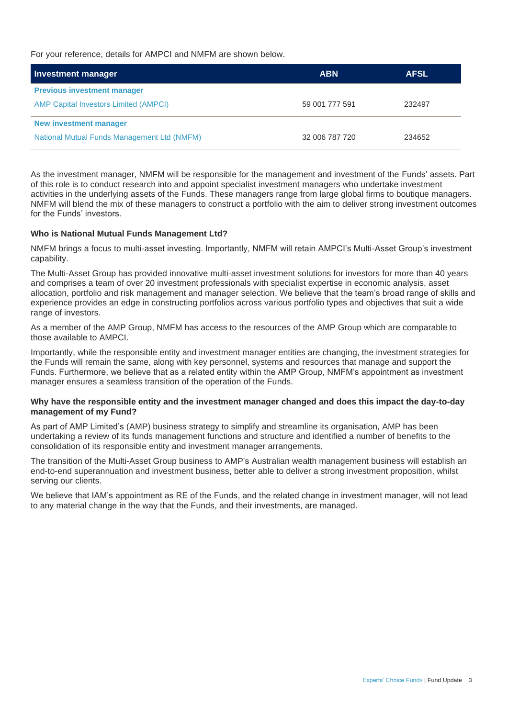For your reference, details for AMPCI and NMFM are shown below.

| <b>Investment manager</b>                    | <b>ABN</b>     | <b>AFSL</b> |
|----------------------------------------------|----------------|-------------|
| <b>Previous investment manager</b>           |                |             |
| <b>AMP Capital Investors Limited (AMPCI)</b> | 59 001 777 591 | 232497      |
| New investment manager                       |                |             |
| National Mutual Funds Management Ltd (NMFM)  | 32 006 787 720 | 234652      |

As the investment manager, NMFM will be responsible for the management and investment of the Funds' assets. Part of this role is to conduct research into and appoint specialist investment managers who undertake investment activities in the underlying assets of the Funds. These managers range from large global firms to boutique managers. NMFM will blend the mix of these managers to construct a portfolio with the aim to deliver strong investment outcomes for the Funds' investors.

#### **Who is National Mutual Funds Management Ltd?**

NMFM brings a focus to multi-asset investing. Importantly, NMFM will retain AMPCI's Multi-Asset Group's investment capability.

The Multi-Asset Group has provided innovative multi-asset investment solutions for investors for more than 40 years and comprises a team of over 20 investment professionals with specialist expertise in economic analysis, asset allocation, portfolio and risk management and manager selection. We believe that the team's broad range of skills and experience provides an edge in constructing portfolios across various portfolio types and objectives that suit a wide range of investors.

As a member of the AMP Group, NMFM has access to the resources of the AMP Group which are comparable to those available to AMPCI.

Importantly, while the responsible entity and investment manager entities are changing, the investment strategies for the Funds will remain the same, along with key personnel, systems and resources that manage and support the Funds. Furthermore, we believe that as a related entity within the AMP Group, NMFM's appointment as investment manager ensures a seamless transition of the operation of the Funds.

#### **Why have the responsible entity and the investment manager changed and does this impact the day-to-day management of my Fund?**

As part of AMP Limited's (AMP) business strategy to simplify and streamline its organisation, AMP has been undertaking a review of its funds management functions and structure and identified a number of benefits to the consolidation of its responsible entity and investment manager arrangements.

The transition of the Multi-Asset Group business to AMP's Australian wealth management business will establish an end-to-end superannuation and investment business, better able to deliver a strong investment proposition, whilst serving our clients.

We believe that IAM's appointment as RE of the Funds, and the related change in investment manager, will not lead to any material change in the way that the Funds, and their investments, are managed.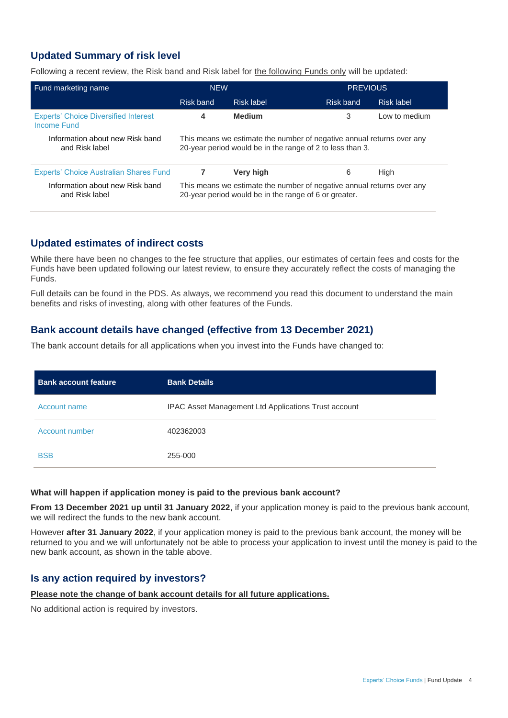# **Updated Summary of risk level**

Following a recent review, the Risk band and Risk label for the following Funds only will be updated:

| Fund marketing name                                        | <b>NEW</b>                                                                                                                         |               | <b>PREVIOUS</b>         |  |
|------------------------------------------------------------|------------------------------------------------------------------------------------------------------------------------------------|---------------|-------------------------|--|
|                                                            | <b>Risk band</b>                                                                                                                   | Risk label    | Risk band<br>Risk label |  |
| <b>Experts' Choice Diversified Interest</b><br>Income Fund | 4                                                                                                                                  | <b>Medium</b> | 3<br>Low to medium      |  |
| Information about new Risk band<br>and Risk label          | This means we estimate the number of negative annual returns over any<br>20-year period would be in the range of 2 to less than 3. |               |                         |  |
| Experts' Choice Australian Shares Fund                     | 7                                                                                                                                  | Very high     | High<br>6               |  |
| Information about new Risk band<br>and Risk label          | This means we estimate the number of negative annual returns over any<br>20-year period would be in the range of 6 or greater.     |               |                         |  |

## **Updated estimates of indirect costs**

While there have been no changes to the fee structure that applies, our estimates of certain fees and costs for the Funds have been updated following our latest review, to ensure they accurately reflect the costs of managing the Funds.

Full details can be found in the PDS. As always, we recommend you read this document to understand the main benefits and risks of investing, along with other features of the Funds.

### **Bank account details have changed (effective from 13 December 2021)**

The bank account details for all applications when you invest into the Funds have changed to:

| <b>Bank account feature</b> | <b>Bank Details</b>                                  |
|-----------------------------|------------------------------------------------------|
| Account name                | IPAC Asset Management Ltd Applications Trust account |
| Account number              | 402362003                                            |
| <b>BSB</b>                  | 255-000                                              |

#### **What will happen if application money is paid to the previous bank account?**

**From 13 December 2021 up until 31 January 2022**, if your application money is paid to the previous bank account, we will redirect the funds to the new bank account.

However **after 31 January 2022**, if your application money is paid to the previous bank account, the money will be returned to you and we will unfortunately not be able to process your application to invest until the money is paid to the new bank account, as shown in the table above.

### **Is any action required by investors?**

### **Please note the change of bank account details for all future applications.**

No additional action is required by investors.